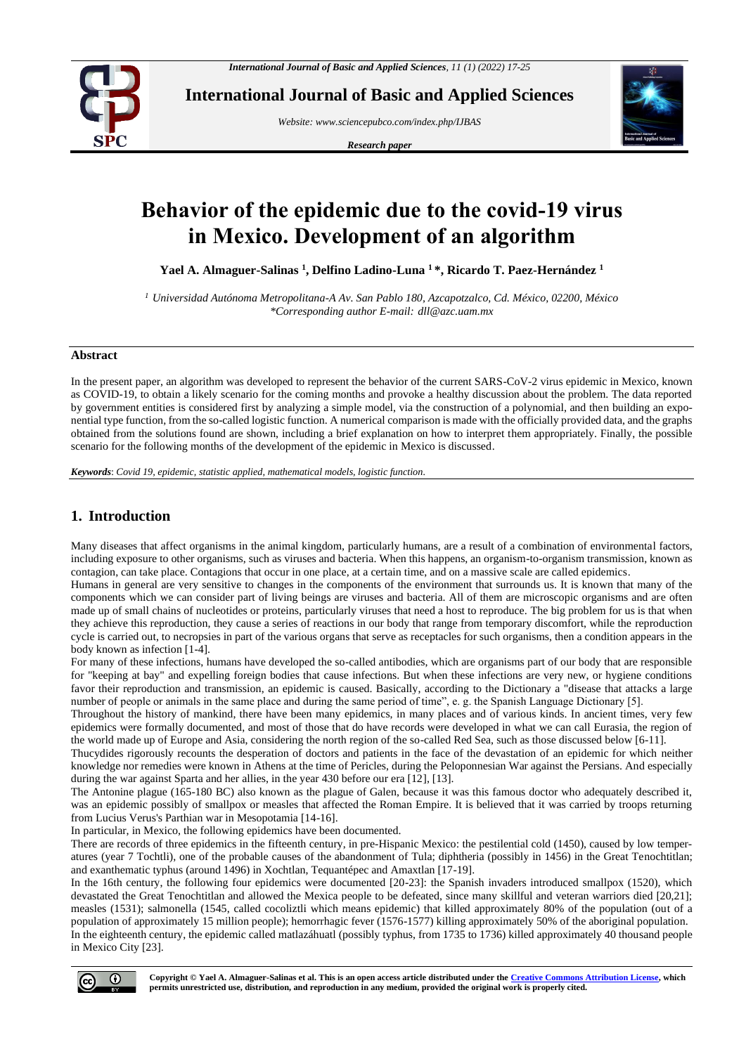

**International Journal of Basic and Applied Sciences**

*Website[: www.sciencepubco.com/index.php/IJBAS](http://www.sciencepubco.com/index.php/IJBAS)*

*Research paper*



# **Behavior of the epidemic due to the covid-19 virus in Mexico. Development of an algorithm**

**Yael A. Almaguer-Salinas <sup>1</sup> , Delfino Ladino-Luna <sup>1</sup>\*, Ricardo T. Paez-Hernández <sup>1</sup>**

*<sup>1</sup> Universidad Autónoma Metropolitana-A Av. San Pablo 180, Azcapotzalco, Cd. México, 02200, México \*Corresponding author E-mail: dll@azc.uam.mx*

#### **Abstract**

In the present paper, an algorithm was developed to represent the behavior of the current SARS-CoV-2 virus epidemic in Mexico, known as COVID-19, to obtain a likely scenario for the coming months and provoke a healthy discussion about the problem. The data reported by government entities is considered first by analyzing a simple model, via the construction of a polynomial, and then building an exponential type function, from the so-called logistic function. A numerical comparison is made with the officially provided data, and the graphs obtained from the solutions found are shown, including a brief explanation on how to interpret them appropriately. Finally, the possible scenario for the following months of the development of the epidemic in Mexico is discussed.

*Keywords*: *Covid 19, epidemic, statistic applied, mathematical models, logistic function.*

# **1. Introduction**

Many diseases that affect organisms in the animal kingdom, particularly humans, are a result of a combination of environmental factors, including exposure to other organisms, such as viruses and bacteria. When this happens, an organism-to-organism transmission, known as contagion, can take place. Contagions that occur in one place, at a certain time, and on a massive scale are called epidemics.

Humans in general are very sensitive to changes in the components of the environment that surrounds us. It is known that many of the components which we can consider part of living beings are viruses and bacteria. All of them are microscopic organisms and are often made up of small chains of nucleotides or proteins, particularly viruses that need a host to reproduce. The big problem for us is that when they achieve this reproduction, they cause a series of reactions in our body that range from temporary discomfort, while the reproduction cycle is carried out, to necropsies in part of the various organs that serve as receptacles for such organisms, then a condition appears in the body known as infection [1-4].

For many of these infections, humans have developed the so-called antibodies, which are organisms part of our body that are responsible for "keeping at bay" and expelling foreign bodies that cause infections. But when these infections are very new, or hygiene conditions favor their reproduction and transmission, an epidemic is caused. Basically, according to the Dictionary a "disease that attacks a large number of people or animals in the same place and during the same period of time", e. g. the Spanish Language Dictionary [5].

Throughout the history of mankind, there have been many epidemics, in many places and of various kinds. In ancient times, very few epidemics were formally documented, and most of those that do have records were developed in what we can call Eurasia, the region of the world made up of Europe and Asia, considering the north region of the so-called Red Sea, such as those discussed below [6-11].

Thucydides rigorously recounts the desperation of doctors and patients in the face of the devastation of an epidemic for which neither knowledge nor remedies were known in Athens at the time of Pericles, during the Peloponnesian War against the Persians. And especially during the war against Sparta and her allies, in the year 430 before our era [12], [13].

The Antonine plague (165-180 BC) also known as the plague of Galen, because it was this famous doctor who adequately described it, was an epidemic possibly of smallpox or measles that affected the Roman Empire. It is believed that it was carried by troops returning from Lucius Verus's Parthian war in Mesopotamia [14-16].

In particular, in Mexico, the following epidemics have been documented.

There are records of three epidemics in the fifteenth century, in pre-Hispanic Mexico: the pestilential cold (1450), caused by low temperatures (year 7 Tochtli), one of the probable causes of the abandonment of Tula; diphtheria (possibly in 1456) in the Great Tenochtitlan; and exanthematic typhus (around 1496) in Xochtlan, Tequantépec and Amaxtlan [17-19].

In the 16th century, the following four epidemics were documented [20-23]: the Spanish invaders introduced smallpox (1520), which devastated the Great Tenochtitlan and allowed the Mexica people to be defeated, since many skillful and veteran warriors died [20,21]; measles (1531); salmonella (1545, called cocoliztli which means epidemic) that killed approximately 80% of the population (out of a population of approximately 15 million people); hemorrhagic fever (1576-1577) killing approximately 50% of the aboriginal population. In the eighteenth century, the epidemic called matlazáhuatl (possibly typhus, from 1735 to 1736) killed approximately 40 thousand people in Mexico City [23].

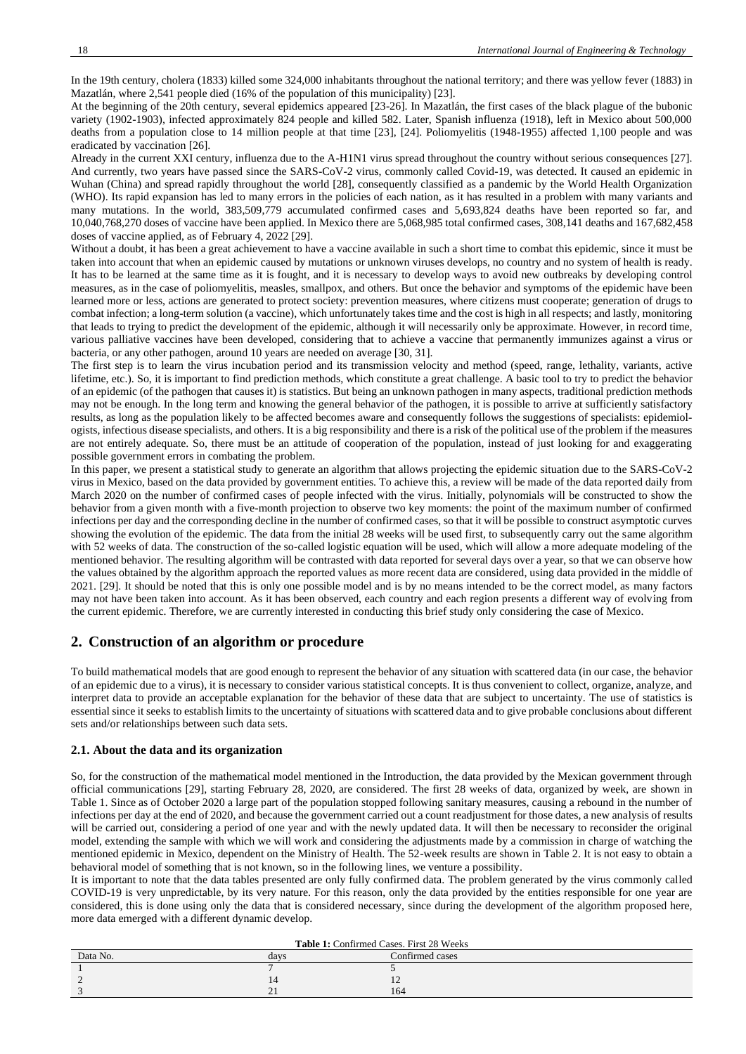In the 19th century, cholera (1833) killed some 324,000 inhabitants throughout the national territory; and there was yellow fever (1883) in Mazatlán, where 2,541 people died (16% of the population of this municipality) [23].

At the beginning of the 20th century, several epidemics appeared [23-26]. In Mazatlán, the first cases of the black plague of the bubonic variety (1902-1903), infected approximately 824 people and killed 582. Later, Spanish influenza (1918), left in Mexico about 500,000 deaths from a population close to 14 million people at that time [23], [24]. Poliomyelitis (1948-1955) affected 1,100 people and was eradicated by vaccination [26].

Already in the current XXI century, influenza due to the A-H1N1 virus spread throughout the country without serious consequences [27]. And currently, two years have passed since the SARS-CoV-2 virus, commonly called Covid-19, was detected. It caused an epidemic in Wuhan (China) and spread rapidly throughout the world [28], consequently classified as a pandemic by the World Health Organization (WHO). Its rapid expansion has led to many errors in the policies of each nation, as it has resulted in a problem with many variants and many mutations. In the world, 383,509,779 accumulated confirmed cases and 5,693,824 deaths have been reported so far, and 10,040,768,270 doses of vaccine have been applied. In Mexico there are 5,068,985 total confirmed cases, 308,141 deaths and 167,682,458 doses of vaccine applied, as of February 4, 2022 [29].

Without a doubt, it has been a great achievement to have a vaccine available in such a short time to combat this epidemic, since it must be taken into account that when an epidemic caused by mutations or unknown viruses develops, no country and no system of health is ready. It has to be learned at the same time as it is fought, and it is necessary to develop ways to avoid new outbreaks by developing control measures, as in the case of poliomyelitis, measles, smallpox, and others. But once the behavior and symptoms of the epidemic have been learned more or less, actions are generated to protect society: prevention measures, where citizens must cooperate; generation of drugs to combat infection; a long-term solution (a vaccine), which unfortunately takes time and the cost is high in all respects; and lastly, monitoring that leads to trying to predict the development of the epidemic, although it will necessarily only be approximate. However, in record time, various palliative vaccines have been developed, considering that to achieve a vaccine that permanently immunizes against a virus or bacteria, or any other pathogen, around 10 years are needed on average [30, 31].

The first step is to learn the virus incubation period and its transmission velocity and method (speed, range, lethality, variants, active lifetime, etc.). So, it is important to find prediction methods, which constitute a great challenge. A basic tool to try to predict the behavior of an epidemic (of the pathogen that causes it) is statistics. But being an unknown pathogen in many aspects, traditional prediction methods may not be enough. In the long term and knowing the general behavior of the pathogen, it is possible to arrive at sufficiently satisfactory results, as long as the population likely to be affected becomes aware and consequently follows the suggestions of specialists: epidemiologists, infectious disease specialists, and others. It is a big responsibility and there is a risk of the political use of the problem if the measures are not entirely adequate. So, there must be an attitude of cooperation of the population, instead of just looking for and exaggerating possible government errors in combating the problem.

In this paper, we present a statistical study to generate an algorithm that allows projecting the epidemic situation due to the SARS-CoV-2 virus in Mexico, based on the data provided by government entities. To achieve this, a review will be made of the data reported daily from March 2020 on the number of confirmed cases of people infected with the virus. Initially, polynomials will be constructed to show the behavior from a given month with a five-month projection to observe two key moments: the point of the maximum number of confirmed infections per day and the corresponding decline in the number of confirmed cases, so that it will be possible to construct asymptotic curves showing the evolution of the epidemic. The data from the initial 28 weeks will be used first, to subsequently carry out the same algorithm with 52 weeks of data. The construction of the so-called logistic equation will be used, which will allow a more adequate modeling of the mentioned behavior. The resulting algorithm will be contrasted with data reported for several days over a year, so that we can observe how the values obtained by the algorithm approach the reported values as more recent data are considered, using data provided in the middle of 2021. [29]. It should be noted that this is only one possible model and is by no means intended to be the correct model, as many factors may not have been taken into account. As it has been observed, each country and each region presents a different way of evolving from the current epidemic. Therefore, we are currently interested in conducting this brief study only considering the case of Mexico.

## **2. Construction of an algorithm or procedure**

To build mathematical models that are good enough to represent the behavior of any situation with scattered data (in our case, the behavior of an epidemic due to a virus), it is necessary to consider various statistical concepts. It is thus convenient to collect, organize, analyze, and interpret data to provide an acceptable explanation for the behavior of these data that are subject to uncertainty. The use of statistics is essential since it seeks to establish limits to the uncertainty of situations with scattered data and to give probable conclusions about different sets and/or relationships between such data sets.

#### **2.1. About the data and its organization**

So, for the construction of the mathematical model mentioned in the Introduction, the data provided by the Mexican government through official communications [29], starting February 28, 2020, are considered. The first 28 weeks of data, organized by week, are shown in Table 1. Since as of October 2020 a large part of the population stopped following sanitary measures, causing a rebound in the number of infections per day at the end of 2020, and because the government carried out a count readjustment for those dates, a new analysis of results will be carried out, considering a period of one year and with the newly updated data. It will then be necessary to reconsider the original model, extending the sample with which we will work and considering the adjustments made by a commission in charge of watching the mentioned epidemic in Mexico, dependent on the Ministry of Health. The 52-week results are shown in Table 2. It is not easy to obtain a behavioral model of something that is not known, so in the following lines, we venture a possibility.

It is important to note that the data tables presented are only fully confirmed data. The problem generated by the virus commonly called COVID-19 is very unpredictable, by its very nature. For this reason, only the data provided by the entities responsible for one year are considered, this is done using only the data that is considered necessary, since during the development of the algorithm proposed here, more data emerged with a different dynamic develop.

| Table 1: Confirmed Cases. First 28 Weeks |      |                 |  |  |
|------------------------------------------|------|-----------------|--|--|
| Data No.                                 | days | Confirmed cases |  |  |
|                                          |      |                 |  |  |
|                                          | 14   |                 |  |  |
|                                          | ∠    | 164             |  |  |
|                                          |      |                 |  |  |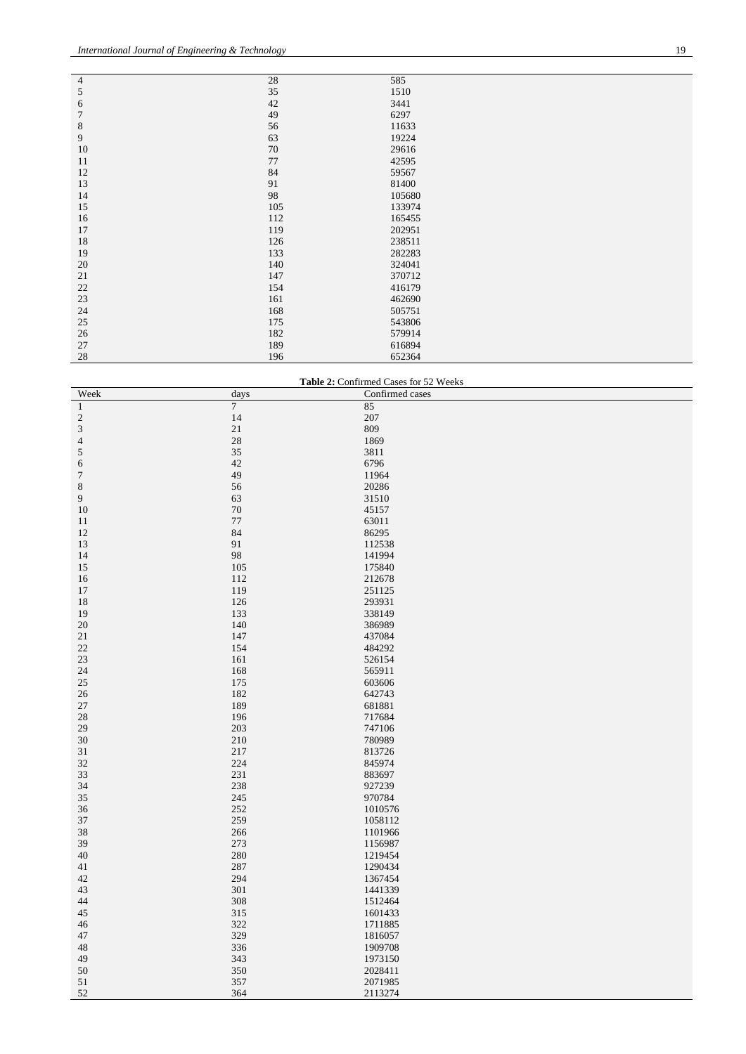| $\overline{4}$ | 28  | 585    |
|----------------|-----|--------|
| $\mathfrak s$  | 35  | 1510   |
| 6              | 42  | 3441   |
| $\sqrt{ }$     | 49  | 6297   |
| $\,8\,$        | 56  | 11633  |
| $\overline{9}$ | 63  | 19224  |
| 10             | 70  | 29616  |
| 11             | 77  | 42595  |
| 12             | 84  | 59567  |
| 13             | 91  | 81400  |
| 14             | 98  | 105680 |
| 15             | 105 | 133974 |
| 16             | 112 | 165455 |
| 17             | 119 | 202951 |
| 18             | 126 | 238511 |
| 19             | 133 | 282283 |
| 20             | 140 | 324041 |
| 21             | 147 | 370712 |
| 22             | 154 | 416179 |
| 23             | 161 | 462690 |
| 24             | 168 | 505751 |
| 25             | 175 | 543806 |
| 26             | 182 | 579914 |
| 27             | 189 | 616894 |
| 28             | 196 | 652364 |

| Table 2: Confirmed Cases for 52 Weeks |        |                 |  |  |
|---------------------------------------|--------|-----------------|--|--|
| Week                                  | days   | Confirmed cases |  |  |
| $\mathbf{1}$                          | $\tau$ | 85              |  |  |
| $\sqrt{2}$                            | 14     | 207             |  |  |
| $\sqrt{3}$                            | 21     | 809             |  |  |
| $\overline{4}$                        | 28     | 1869            |  |  |
| $\mathfrak{S}$                        | 35     | 3811            |  |  |
| 6                                     | 42     | 6796            |  |  |
| $\boldsymbol{7}$                      | 49     | 11964           |  |  |
| $\,8\,$                               | 56     | 20286           |  |  |
| 9                                     | 63     | 31510           |  |  |
| 10                                    | $70\,$ | 45157           |  |  |
| 11                                    | 77     | 63011           |  |  |
| 12                                    | 84     | 86295           |  |  |
| 13                                    | 91     | 112538          |  |  |
| 14                                    | 98     | 141994          |  |  |
| 15                                    | 105    | 175840          |  |  |
| 16                                    | 112    | 212678          |  |  |
| 17                                    | 119    | 251125          |  |  |
| 18                                    | 126    | 293931          |  |  |
| 19                                    | 133    | 338149          |  |  |
| 20                                    | 140    | 386989          |  |  |
| 21                                    | 147    | 437084          |  |  |
| 22                                    | 154    | 484292          |  |  |
| 23                                    | 161    | 526154          |  |  |
| 24                                    | 168    | 565911          |  |  |
| 25                                    | 175    | 603606          |  |  |
| 26                                    | 182    | 642743          |  |  |
| 27                                    | 189    | 681881          |  |  |
| $28\,$                                | 196    | 717684          |  |  |
| 29                                    | 203    | 747106          |  |  |
| 30                                    | 210    | 780989          |  |  |
| 31                                    | 217    | 813726          |  |  |
| 32                                    | 224    | 845974          |  |  |
| 33                                    | 231    | 883697          |  |  |
| 34                                    | 238    | 927239          |  |  |
| 35                                    | 245    | 970784          |  |  |
| 36                                    | 252    | 1010576         |  |  |
| 37                                    | 259    | 1058112         |  |  |
| 38                                    | 266    | 1101966         |  |  |
| 39                                    | 273    | 1156987         |  |  |
| 40                                    | 280    | 1219454         |  |  |
| 41                                    | 287    | 1290434         |  |  |
| 42                                    | 294    | 1367454         |  |  |
| 43                                    | 301    | 1441339         |  |  |
| 44                                    | 308    | 1512464         |  |  |
| 45                                    | 315    | 1601433         |  |  |
| 46                                    | 322    | 1711885         |  |  |
| 47                                    | 329    | 1816057         |  |  |
| 48                                    | 336    | 1909708         |  |  |
| 49                                    | 343    | 1973150         |  |  |
| 50                                    | 350    | 2028411         |  |  |
| 51                                    | 357    | 2071985         |  |  |
| 52                                    | 364    | 2113274         |  |  |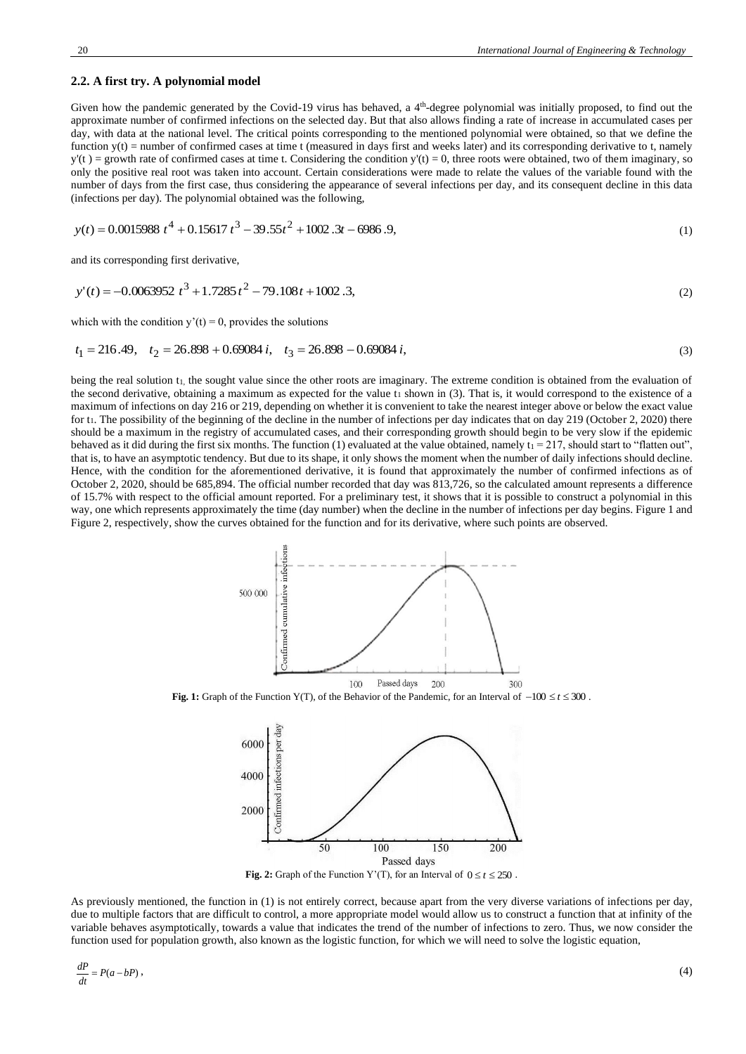#### **2.2. A first try. A polynomial model**

Given how the pandemic generated by the Covid-19 virus has behaved, a 4<sup>th</sup>-degree polynomial was initially proposed, to find out the approximate number of confirmed infections on the selected day. But that also allows finding a rate of increase in accumulated cases per day, with data at the national level. The critical points corresponding to the mentioned polynomial were obtained, so that we define the function  $y(t)$  = number of confirmed cases at time t (measured in days first and weeks later) and its corresponding derivative to t, namely  $y'(t)$  = growth rate of confirmed cases at time t. Considering the condition  $y'(t) = 0$ , three roots were obtained, two of them imaginary, so only the positive real root was taken into account. Certain considerations were made to relate the values of the variable found with the number of days from the first case, thus considering the appearance of several infections per day, and its consequent decline in this data (infections per day). The polynomial obtained was the following,

$$
y(t) = 0.0015988 \ t^4 + 0.15617 \ t^3 - 39.55t^2 + 1002.3t - 6986.9,\tag{1}
$$

and its corresponding first derivative,

$$
y'(t) = -0.0063952 \ t^3 + 1.7285 \ t^2 - 79.108 t + 1002.3,\tag{2}
$$

which with the condition  $y'(t) = 0$ , provides the solutions

$$
t_1 = 216.49, \quad t_2 = 26.898 + 0.69084 \ i, \quad t_3 = 26.898 - 0.69084 \ i,
$$
\n
$$
(3)
$$

being the real solution t<sub>1</sub>, the sought value since the other roots are imaginary. The extreme condition is obtained from the evaluation of the second derivative, obtaining a maximum as expected for the value  $t_1$  shown in (3). That is, it would correspond to the existence of a maximum of infections on day 216 or 219, depending on whether it is convenient to take the nearest integer above or below the exact value for  $t_1$ . The possibility of the beginning of the decline in the number of infections per day indicates that on day 219 (October 2, 2020) there should be a maximum in the registry of accumulated cases, and their corresponding growth should begin to be very slow if the epidemic behaved as it did during the first six months. The function (1) evaluated at the value obtained, namely  $t_1 = 217$ , should start to "flatten out", that is, to have an asymptotic tendency. But due to its shape, it only shows the moment when the number of daily infections should decline. Hence, with the condition for the aforementioned derivative, it is found that approximately the number of confirmed infections as of October 2, 2020, should be 685,894. The official number recorded that day was 813,726, so the calculated amount represents a difference of 15.7% with respect to the official amount reported. For a preliminary test, it shows that it is possible to construct a polynomial in this way, one which represents approximately the time (day number) when the decline in the number of infections per day begins. Figure 1 and Figure 2, respectively, show the curves obtained for the function and for its derivative, where such points are observed.



**Fig. 1:** Graph of the Function Y(T), of the Behavior of the Pandemic, for an Interval of −100 *t* 300 .



**Fig. 2:** Graph of the Function Y'(T), for an Interval of  $0 \le t \le 250$ .

As previously mentioned, the function in (1) is not entirely correct, because apart from the very diverse variations of infections per day, due to multiple factors that are difficult to control, a more appropriate model would allow us to construct a function that at infinity of the variable behaves asymptotically, towards a value that indicates the trend of the number of infections to zero. Thus, we now consider the function used for population growth, also known as the logistic function, for which we will need to solve the logistic equation,

$$
\frac{dP}{dt} = P(a - bP) \,,\tag{4}
$$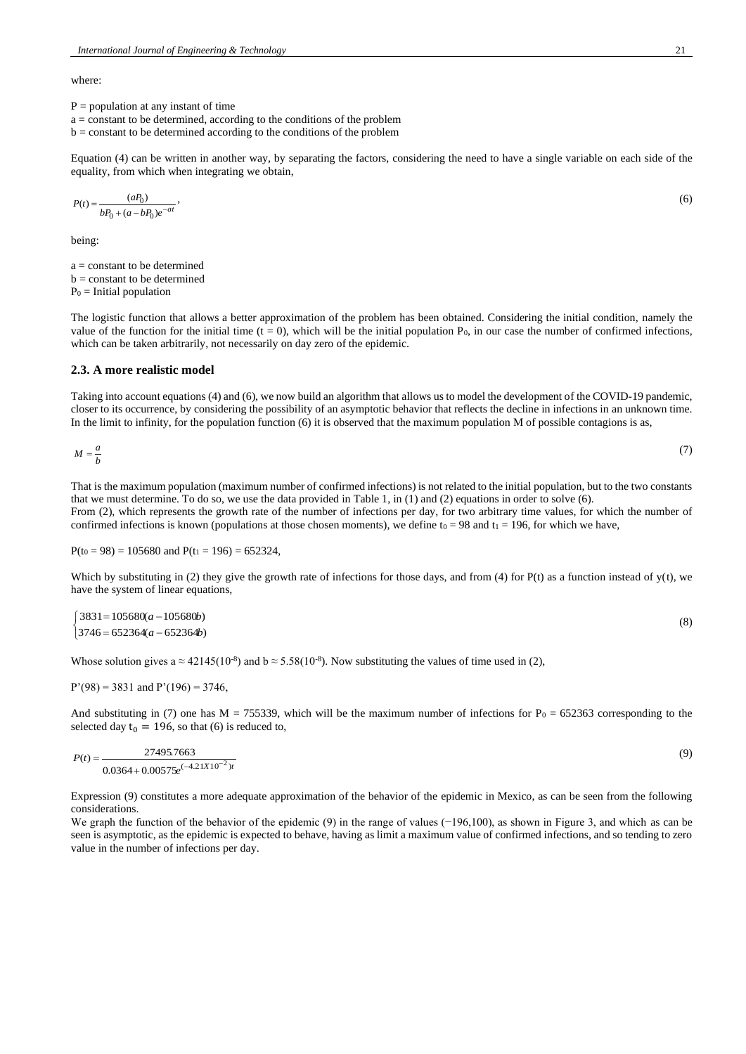where:

- $P =$  population at any instant of time
- $a = constant to be determined, according to the conditions of the problem$
- $b = constant$  to be determined according to the conditions of the problem

Equation (4) can be written in another way, by separating the factors, considering the need to have a single variable on each side of the equality, from which when integrating we obtain,

$$
P(t) = \frac{(aP_0)}{bP_0 + (a - bP_0)e^{-at}},
$$
\n(6)

being:

a = constant to be determined  $b = constant to be determined$  $P_0$  = Initial population

The logistic function that allows a better approximation of the problem has been obtained. Considering the initial condition, namely the value of the function for the initial time  $(t = 0)$ , which will be the initial population P<sub>0</sub>, in our case the number of confirmed infections, which can be taken arbitrarily, not necessarily on day zero of the epidemic.

#### **2.3. A more realistic model**

Taking into account equations (4) and (6), we now build an algorithm that allows us to model the development of the COVID-19 pandemic, closer to its occurrence, by considering the possibility of an asymptotic behavior that reflects the decline in infections in an unknown time. In the limit to infinity, for the population function (6) it is observed that the maximum population M of possible contagions is as,

$$
M = \frac{a}{b} \tag{7}
$$

That is the maximum population (maximum number of confirmed infections) is not related to the initial population, but to the two constants that we must determine. To do so, we use the data provided in Table 1, in (1) and (2) equations in order to solve (6). From (2), which represents the growth rate of the number of infections per day, for two arbitrary time values, for which the number of confirmed infections is known (populations at those chosen moments), we define t<sub>0</sub> = 98 and t<sub>1</sub> = 196, for which we have,

 $P(t_0 = 98) = 105680$  and  $P(t_1 = 196) = 652324$ ,

Which by substituting in (2) they give the growth rate of infections for those days, and from (4) for  $P(t)$  as a function instead of  $y(t)$ , we have the system of linear equations,

$$
\begin{cases} 3831 = 105680(a - 105680b) \\ 3746 = 652364(a - 652364b) \end{cases} (8)
$$

Whose solution gives a  $\approx$  42145(10<sup>-8</sup>) and b  $\approx$  5.58(10<sup>-8</sup>). Now substituting the values of time used in (2),

$$
P'(98) = 3831
$$
 and  $P'(196) = 3746$ ,

And substituting in (7) one has M = 755339, which will be the maximum number of infections for  $P_0 = 652363$  corresponding to the selected day  $t_0 = 196$ , so that (6) is reduced to,

$$
P(t) = \frac{27495.7663}{0.0364 + 0.00575e^{(-4.21X10^{-2})t}}
$$
(9)

Expression (9) constitutes a more adequate approximation of the behavior of the epidemic in Mexico, as can be seen from the following considerations.

We graph the function of the behavior of the epidemic (9) in the range of values (−196,100), as shown in Figure 3, and which as can be seen is asymptotic, as the epidemic is expected to behave, having as limit a maximum value of confirmed infections, and so tending to zero value in the number of infections per day.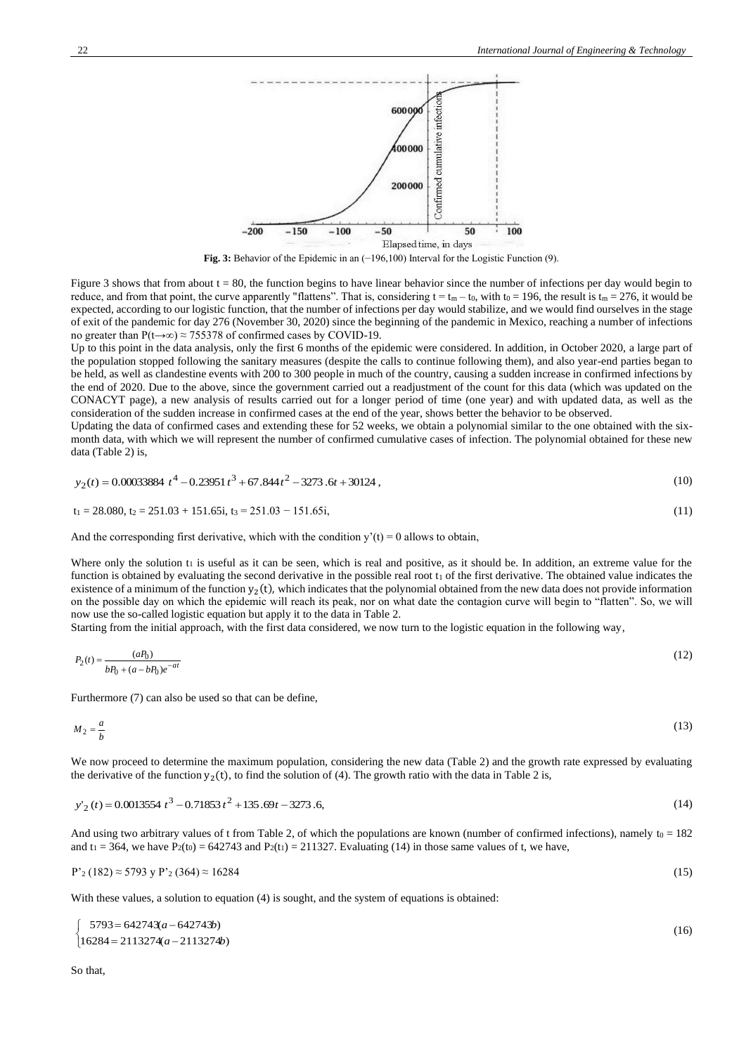

**Fig. 3:** Behavior of the Epidemic in an (−196,100) Interval for the Logistic Function (9).

Figure 3 shows that from about  $t = 80$ , the function begins to have linear behavior since the number of infections per day would begin to reduce, and from that point, the curve apparently "flattens". That is, considering  $t = t_m - t_0$ , with  $t_0 = 196$ , the result is  $t_m = 276$ , it would be expected, according to our logistic function, that the number of infections per day would stabilize, and we would find ourselves in the stage of exit of the pandemic for day 276 (November 30, 2020) since the beginning of the pandemic in Mexico, reaching a number of infections no greater than P(t→∞) ≈ 755378 of confirmed cases by COVID-19.

Up to this point in the data analysis, only the first 6 months of the epidemic were considered. In addition, in October 2020, a large part of the population stopped following the sanitary measures (despite the calls to continue following them), and also year-end parties began to be held, as well as clandestine events with 200 to 300 people in much of the country, causing a sudden increase in confirmed infections by the end of 2020. Due to the above, since the government carried out a readjustment of the count for this data (which was updated on the CONACYT page), a new analysis of results carried out for a longer period of time (one year) and with updated data, as well as the consideration of the sudden increase in confirmed cases at the end of the year, shows better the behavior to be observed.

Updating the data of confirmed cases and extending these for 52 weeks, we obtain a polynomial similar to the one obtained with the sixmonth data, with which we will represent the number of confirmed cumulative cases of infection. The polynomial obtained for these new data (Table 2) is,

$$
y_2(t) = 0.00033884 \ t^4 - 0.23951 \ t^3 + 67.844 \ t^2 - 3273.6t + 30124 \ , \tag{10}
$$

$$
t_1 = 28.080, t_2 = 251.03 + 151.65i, t_3 = 251.03 - 151.65i,
$$
\n
$$
(11)
$$

And the corresponding first derivative, which with the condition  $y'(t) = 0$  allows to obtain,

Where only the solution  $t_1$  is useful as it can be seen, which is real and positive, as it should be. In addition, an extreme value for the function is obtained by evaluating the second derivative in the possible real root  $t_1$  of the first derivative. The obtained value indicates the existence of a minimum of the function  $y_2(t)$ , which indicates that the polynomial obtained from the new data does not provide information on the possible day on which the epidemic will reach its peak, nor on what date the contagion curve will begin to "flatten". So, we will now use the so-called logistic equation but apply it to the data in Table 2.

Starting from the initial approach, with the first data considered, we now turn to the logistic equation in the following way,

$$
P_2(t) = \frac{(aP_0)}{bP_0 + (a - bP_0)e^{-at}}\tag{12}
$$

Furthermore (7) can also be used so that can be define,

$$
M_2 = \frac{a}{b} \tag{13}
$$

We now proceed to determine the maximum population, considering the new data (Table 2) and the growth rate expressed by evaluating the derivative of the function  $y_2(t)$ , to find the solution of (4). The growth ratio with the data in Table 2 is,

$$
y'_2(t) = 0.0013554 \ t^3 - 0.71853 \ t^2 + 135.69t - 3273.6,\tag{14}
$$

And using two arbitrary values of t from Table 2, of which the populations are known (number of confirmed infections), namely  $t_0 = 182$ and  $t_1 = 364$ , we have  $P_2(t_0) = 642743$  and  $P_2(t_1) = 211327$ . Evaluating (14) in those same values of t, we have,

$$
P'_{2}(182) \approx 5793 \text{ y } P'_{2}(364) \approx 16284 \tag{15}
$$

With these values, a solution to equation (4) is sought, and the system of equations is obtained:

$$
\begin{cases}\n5793 = 642743(a - 642743b) \\
16284 = 2113274(a - 2113274b)\n\end{cases}
$$
\n(16)

So that,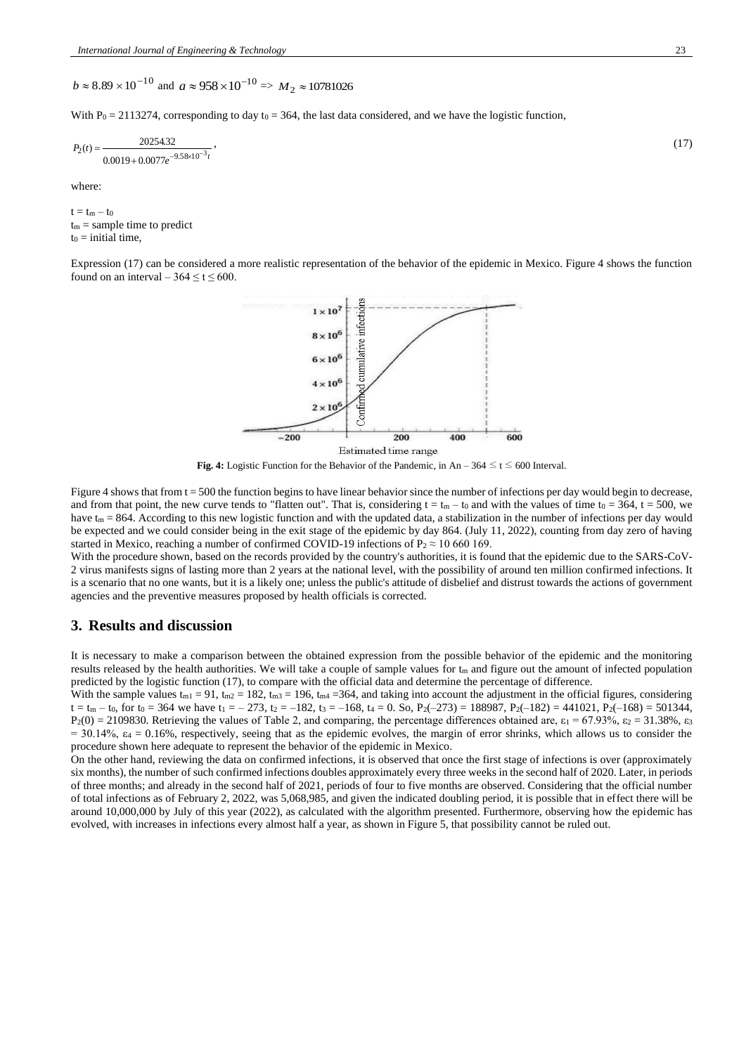$b \approx 8.89 \times 10^{-10}$  and  $a \approx 958 \times 10^{-10} \Rightarrow M_2 \approx 10781026$ 

With  $P_0 = 2113274$ , corresponding to day to = 364, the last data considered, and we have the logistic function,

$$
P_2(t) = \frac{20254.32}{0.0019 + 0.0077e^{-9.58 \times 10^{-3} t}},
$$
\n(17)

where:

 $t = t_m - t_0$  $t_m$  = sample time to predict  $t_0$  = initial time,

Expression (17) can be considered a more realistic representation of the behavior of the epidemic in Mexico. Figure 4 shows the function found on an interval –  $364 \le t \le 600$ .



**Fig. 4:** Logistic Function for the Behavior of the Pandemic, in An – 364  $\leq t \leq 600$  Interval.

Figure 4 shows that from  $t = 500$  the function begins to have linear behavior since the number of infections per day would begin to decrease, and from that point, the new curve tends to "flatten out". That is, considering  $t = t_m - t_0$  and with the values of time to = 364, t = 500, we have  $t_m = 864$ . According to this new logistic function and with the updated data, a stabilization in the number of infections per day would be expected and we could consider being in the exit stage of the epidemic by day 864. (July 11, 2022), counting from day zero of having started in Mexico, reaching a number of confirmed COVID-19 infections of P<sub>2</sub>  $\approx$  10 660 169.

With the procedure shown, based on the records provided by the country's authorities, it is found that the epidemic due to the SARS-CoV-2 virus manifests signs of lasting more than 2 years at the national level, with the possibility of around ten million confirmed infections. It is a scenario that no one wants, but it is a likely one; unless the public's attitude of disbelief and distrust towards the actions of government agencies and the preventive measures proposed by health officials is corrected.

# **3. Results and discussion**

It is necessary to make a comparison between the obtained expression from the possible behavior of the epidemic and the monitoring results released by the health authorities. We will take a couple of sample values for  $t_m$  and figure out the amount of infected population predicted by the logistic function (17), to compare with the official data and determine the percentage of difference.

With the sample values  $t_{m1} = 91$ ,  $t_{m2} = 182$ ,  $t_{m3} = 196$ ,  $t_{m4} = 364$ , and taking into account the adjustment in the official figures, considering  $t = t_m - t_0$ , for  $t_0 = 364$  we have  $t_1 = -273$ ,  $t_2 = -182$ ,  $t_3 = -168$ ,  $t_4 = 0$ . So,  $P_2(-273) = 188987$ ,  $P_2(-182) = 441021$ ,  $P_2(-168) = 501344$ ,  $P_2(0) = 2109830$ . Retrieving the values of Table 2, and comparing, the percentage differences obtained are,  $\varepsilon_1 = 67.93\%$ ,  $\varepsilon_2 = 31.38\%$ ,  $\varepsilon_3$  $= 30.14\%$ ,  $\varepsilon_4 = 0.16\%$ , respectively, seeing that as the epidemic evolves, the margin of error shrinks, which allows us to consider the procedure shown here adequate to represent the behavior of the epidemic in Mexico.

On the other hand, reviewing the data on confirmed infections, it is observed that once the first stage of infections is over (approximately six months), the number of such confirmed infections doubles approximately every three weeks in the second half of 2020. Later, in periods of three months; and already in the second half of 2021, periods of four to five months are observed. Considering that the official number of total infections as of February 2, 2022, was 5,068,985, and given the indicated doubling period, it is possible that in effect there will be around 10,000,000 by July of this year (2022), as calculated with the algorithm presented. Furthermore, observing how the epidemic has evolved, with increases in infections every almost half a year, as shown in Figure 5, that possibility cannot be ruled out.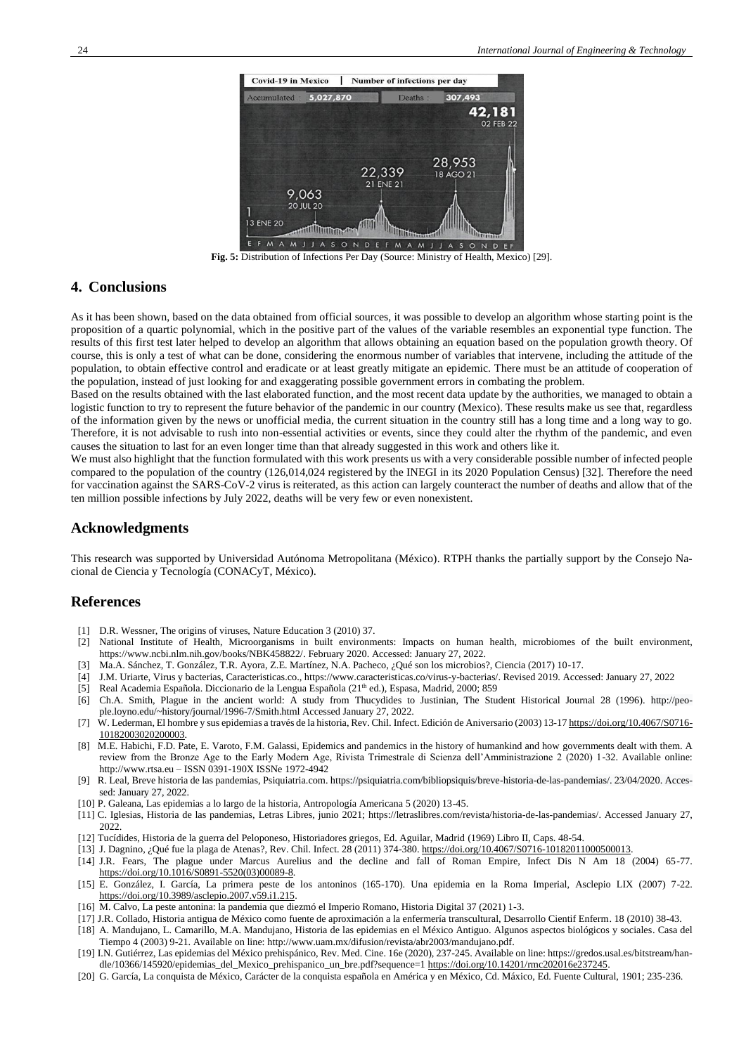

**Fig. 5:** Distribution of Infections Per Day (Source: Ministry of Health, Mexico) [29].

## **4. Conclusions**

As it has been shown, based on the data obtained from official sources, it was possible to develop an algorithm whose starting point is the proposition of a quartic polynomial, which in the positive part of the values of the variable resembles an exponential type function. The results of this first test later helped to develop an algorithm that allows obtaining an equation based on the population growth theory. Of course, this is only a test of what can be done, considering the enormous number of variables that intervene, including the attitude of the population, to obtain effective control and eradicate or at least greatly mitigate an epidemic. There must be an attitude of cooperation of the population, instead of just looking for and exaggerating possible government errors in combating the problem.

Based on the results obtained with the last elaborated function, and the most recent data update by the authorities, we managed to obtain a logistic function to try to represent the future behavior of the pandemic in our country (Mexico). These results make us see that, regardless of the information given by the news or unofficial media, the current situation in the country still has a long time and a long way to go. Therefore, it is not advisable to rush into non-essential activities or events, since they could alter the rhythm of the pandemic, and even causes the situation to last for an even longer time than that already suggested in this work and others like it.

We must also highlight that the function formulated with this work presents us with a very considerable possible number of infected people compared to the population of the country (126,014,024 registered by the INEGI in its 2020 Population Census) [32]. Therefore the need for vaccination against the SARS-CoV-2 virus is reiterated, as this action can largely counteract the number of deaths and allow that of the ten million possible infections by July 2022, deaths will be very few or even nonexistent.

## **Acknowledgments**

This research was supported by Universidad Autónoma Metropolitana (México). RTPH thanks the partially support by the Consejo Nacional de Ciencia y Tecnología (CONACyT, México).

## **References**

- [1] D.R. Wessner, The origins of viruses, Nature Education 3 (2010) 37.
- [2] National Institute of Health, Microorganisms in built environments: Impacts on human health, microbiomes of the built environment, [https://www.ncbi.nlm.nih.gov/books/NBK458822/.](https://www.ncbi.nlm.nih.gov/books/NBK458822/) February 2020. Accessed: January 27, 2022.
- [3] Ma.A. Sánchez, T. González, T.R. Ayora, Z.E. Martínez, N.A. Pacheco, ¿Qué son los microbios?, Ciencia (2017) 10-17.
- [4] J.M. Uriarte, Virus y bacterias, Caracteristicas.co.[, https://www.caracteristicas.co/virus-y-bacterias/.](https://www.caracteristicas.co/virus-y-bacterias/) Revised 2019. Accessed: January 27, 2022
- [5] [Real Academia Española.](https://es.wikipedia.org/wiki/Real_Academia_Espa%C3%B1ola) [Diccionario de la Lengua Española](https://es.wikipedia.org/wiki/Diccionario_de_la_lengua_espa%C3%B1ola) (21<sup>th</sup> ed.), [Espasa,](https://es.wikipedia.org/wiki/Editorial_Espasa) Madrid, 2000; 859
- [6] Ch.A. Smith, Plague in the ancient world: A study from Thucydides to Justinian, The Student Historical Journal 28 (1996). [http://peo](http://people.loyno.edu/~history/journal/1996-7/Smith.html)[ple.loyno.edu/~history/journal/1996-7/Smith.html](http://people.loyno.edu/~history/journal/1996-7/Smith.html) Accessed January 27, 2022.
- W. Lederman, El hombre y sus epidemias a través de la historia, Rev. Chil. Infect. Edición de Aniversario (2003) 13-17 [https://doi.org/10.4067/S0716-](https://doi.org/10.4067/S0716-10182003020200003) [10182003020200003.](https://doi.org/10.4067/S0716-10182003020200003)
- [8] M.E. Habichi, F.D. Pate, E. Varoto, F.M. Galassi, Epidemics and pandemics in the history of humankind and how governments dealt with them. A review from the Bronze Age to the Early Modern Age, Rivista Trimestrale di Scienza dell'Amministrazione 2 (2020) 1-32. Available online: http://www.rtsa.eu – ISSN 0391-190X ISSNe 1972-4942
- [9] R. Leal, Breve historia de las pandemias, Psiquiatria.com[. https://psiquiatria.com/bibliopsiquis/breve-historia-de-las-pandemias/.](https://psiquiatria.com/bibliopsiquis/breve-historia-de-las-pandemias/) 23/04/2020. Accessed: January 27, 2022.
- [10] P. Galeana, Las epidemias a lo largo de la historia, Antropología Americana 5 (2020) 13-45.
- [11] [C. Iglesias,](file:///d:/Users/DELFINO/Desktop/Aux-esc/covid19/C.%20Iglesias) Historia de las pandemias, Letras Libres, junio 2021; [https://letraslibres.com/revista/historia-de-las-pandemias/.](https://letraslibres.com/revista/historia-de-las-pandemias/) Accessed January 27, 2022.
- [12] Tucídides, Historia de la guerra del Peloponeso, Historiadores griegos, Ed. Aguilar, Madrid (1969) Libro II, Caps. 48-54.
- [13] J. Dagnino, ¿Qué fue la plaga de Atenas?, Rev. Chil. Infect. 28 (2011) 374-380. [https://doi.org/10.4067/S0716-10182011000500013.](https://doi.org/10.4067/S0716-10182011000500013)
- [14] J.R. Fears, The plague under Marcus Aurelius and the decline and fall of Roman Empire, Infect Dis N Am 18 (2004) 65-77. [https://doi.org/10.1016/S0891-5520\(03\)00089-8.](https://doi.org/10.1016/S0891-5520(03)00089-8)
- [15] E. González, I. García, La primera peste de los antoninos (165-170). Una epidemia en la Roma Imperial, Asclepio LIX (2007) 7-22. [https://doi.org/10.3989/asclepio.2007.v59.i1.215.](https://doi.org/10.3989/asclepio.2007.v59.i1.215)
- [16] [M. Calvo,](https://dialnet.unirioja.es/servlet/autor?codigo=4707540) La peste [antonina:](https://dialnet.unirioja.es/servlet/articulo?codigo=7707024) la pandemia que diezmó el Imperio Romano, Historia Digital 37 (2021) 1-3.
- [17] J.R. Collado, Historia antigua de México como fuente de aproximación a la enfermería transcultural, Desarrollo Cientif Enferm. 18 (2010) 38-43.
- [18] A[. Mandujano, L. Camarillo, M.A. Mandujano, Historia de las epidemias en el México Antiguo. Algunos aspectos biológicos y sociales. Casa del](file:///d:/Users/DL/Downloads/Mandujano,%20L.%20Camarillo,%20M.A.%20Mandujano,%20Historia%20de%20las%20epidemias%20en%20el%20México%20Antiguo.%20Algunos%20aspectos%20biológicos%20y%20sociales.%20Casa%20del%20Tiempo%204%20(2003)%209-21,)  [Tiempo 4 \(2003\) 9-21.](file:///d:/Users/DL/Downloads/Mandujano,%20L.%20Camarillo,%20M.A.%20Mandujano,%20Historia%20de%20las%20epidemias%20en%20el%20México%20Antiguo.%20Algunos%20aspectos%20biológicos%20y%20sociales.%20Casa%20del%20Tiempo%204%20(2003)%209-21,) Available on line[: http://www.uam.mx/difusion/revista/abr2003/mandujano.pdf.](http://www.uam.mx/difusion/revista/abr2003/mandujano.pdf)
- [19] I.N. Gutiérrez, Las epidemias del México prehispánico, Rev. Med. Cine. 16e (2020), 237-245. Available on line: https://gredos.usal.es/bitstream/handle/10366/145920/epidemias\_del\_Mexico\_prehispanico\_un\_bre.pdf?sequence=1 [https://doi.org/10.14201/rmc202016e237245.](https://doi.org/10.14201/rmc202016e237245)
- [20] G. García, La conquista de México, Carácter de la conquista española en América y en México, Cd. Máxico, Ed. Fuente Cultural, 1901; 235-236.